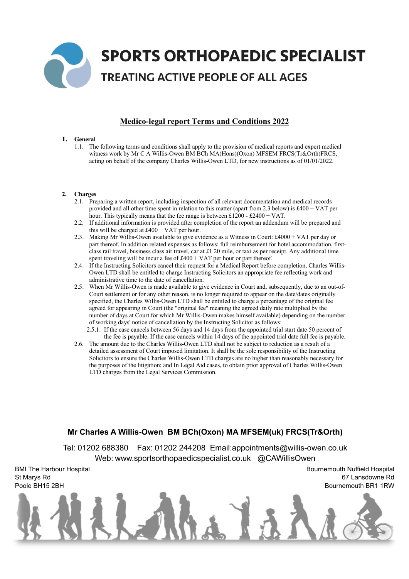

# **Medico-legal report Terms and Conditions 2022**

## **1. General**

1.1. The following terms and conditions shall apply to the provision of medical reports and expert medical witness work by Mr C A Willis-Owen BM BCh MA(Hons)(Oxon) MFSEM FRCS(Tr&Orth)FRCS, acting on behalf of the company Charles Willis-Owen LTD, for new instructions as of 01/01/2022.

### **2. Charges**

- 2.1. Preparing a written report, including inspection of all relevant documentation and medical records provided and all other time spent in relation to this matter (apart from 2.3 below) is £400 + VAT per hour. This typically means that the fee range is between £1200 - £2400 + VAT.
- 2.2. If additional information is provided after completion of the report an addendum will be prepared and this will be charged at  $£400 + VAT$  per hour.
- 2.3. Making Mr Willis-Owen available to give evidence as a Witness in Court: £4000 + VAT per day or part thereof. In addition related expenses as follows: full reimbursement for hotel accommodation, firstclass rail travel, business class air travel, car at £1.20 mile, or taxi as per receipt. Any additional time spent traveling will be incur a fee of  $£400 + VAT$  per hour or part thereof.
- 2.4. If the Instructing Solicitors cancel their request for a Medical Report before completion, Charles Willis-Owen LTD shall be entitled to charge Instructing Solicitors an appropriate fee reflecting work and administrative time to the date of cancellation.
- 2.5. When Mr Willis-Owen is made available to give evidence in Court and, subsequently, due to an out-of-Court settlement or for any other reason, is no longer required to appear on the date/dates originally specified, the Charles Willis-Owen LTD shall be entitled to charge a percentage of the original fee agreed for appearing in Court (the "original fee" meaning the agreed daily rate multiplied by the number of days at Court for which Mr Willis-Owen makes himself available) depending on the number of working days' notice of cancellation by the Instructing Solicitor as follows:
	- 2.5.1. If the case cancels between 56 days and 14 days from the appointed trial start date 50 percent of the fee is payable. If the case cancels within 14 days of the appointed trial date full fee is payable.
- 2.6. The amount due to the Charles Willis-Owen LTD shall not be subject to reduction as a result of a detailed assessment of Court imposed limitation. It shall be the sole responsibility of the Instructing Solicitors to ensure the Charles Willis-Owen LTD charges are no higher than reasonably necessary for the purposes of the litigation; and In Legal Aid cases, to obtain prior approval of Charles Willis-Owen LTD charges from the Legal Services Commission.

# **Mr Charles A Willis-Owen BM BCh(Oxon) MA MFSEM(uk) FRCS(Tr&Orth)**

Tel: 01202 688380 Fax: 01202 244208 Email:appointments@willis-owen.co.uk Web: www.sportsorthopaedicspecialist.co.uk @CAWillisOwen

BMI The Harbour Hospital St Marys Rd Poole BH15 2BH

Bournemouth Nuffield Hospital 67 Lansdowne Rd Bournemouth BR1 1RW